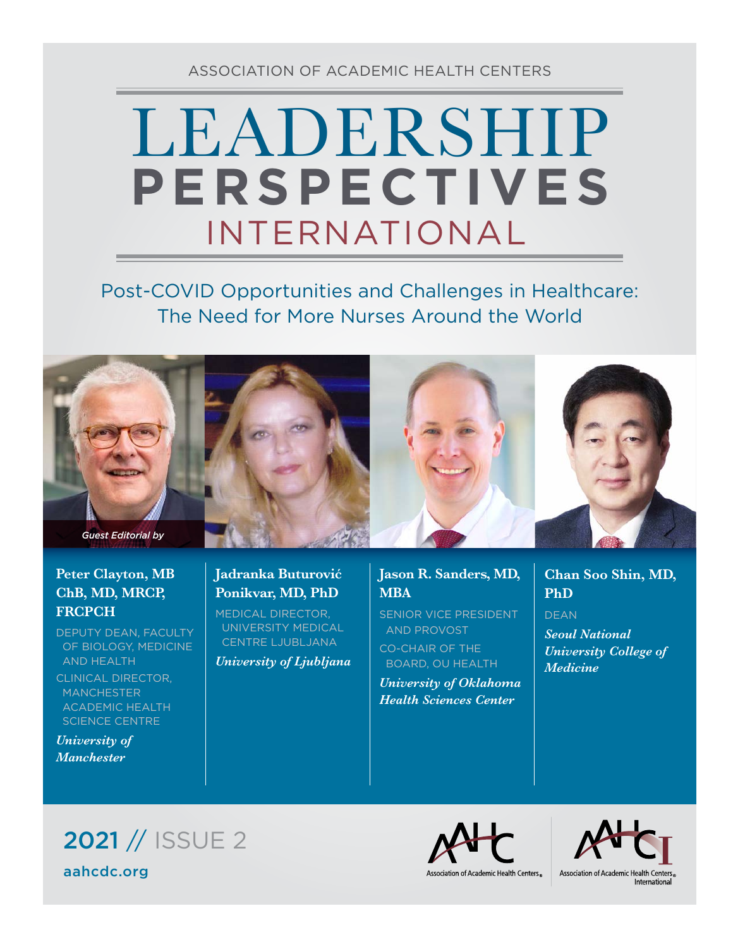ASSOCIATION OF ACADEMIC HEALTH CENTERS

## LEADERSHIP INTERNATIONAL **PERSPECTIVES**

### Post-COVID Opportunities and Challenges in Healthcare: The Need for More Nurses Around the World



#### **Peter Clayton, MB ChB, MD, MRCP, FRCPCH**

DEPUTY DEAN, FACULTY OF BIOLOGY, MEDICINE AND HEALTH

CLINICAL DIRECTOR, **MANCHESTER**  ACADEMIC HEALTH SCIENCE CENTRE

*University of Manchester*

#### **Jadranka Buturović Ponikvar, MD, PhD**

MEDICAL DIRECTOR, UNIVERSITY MEDICAL CENTRE LJUBLJANA *University of Ljubljana*

#### **Jason R. Sanders, MD, MBA**

SENIOR VICE PRESIDENT AND PROVOST CO-CHAIR OF THE BOARD, OU HEALTH

*University of Oklahoma Health Sciences Center*



DEAN

*Seoul National University College of Medicine*

2021 // ISSUE 2 [aahcdc.org](http://www.aahcdc.org)



Association of Academic Health Centers®

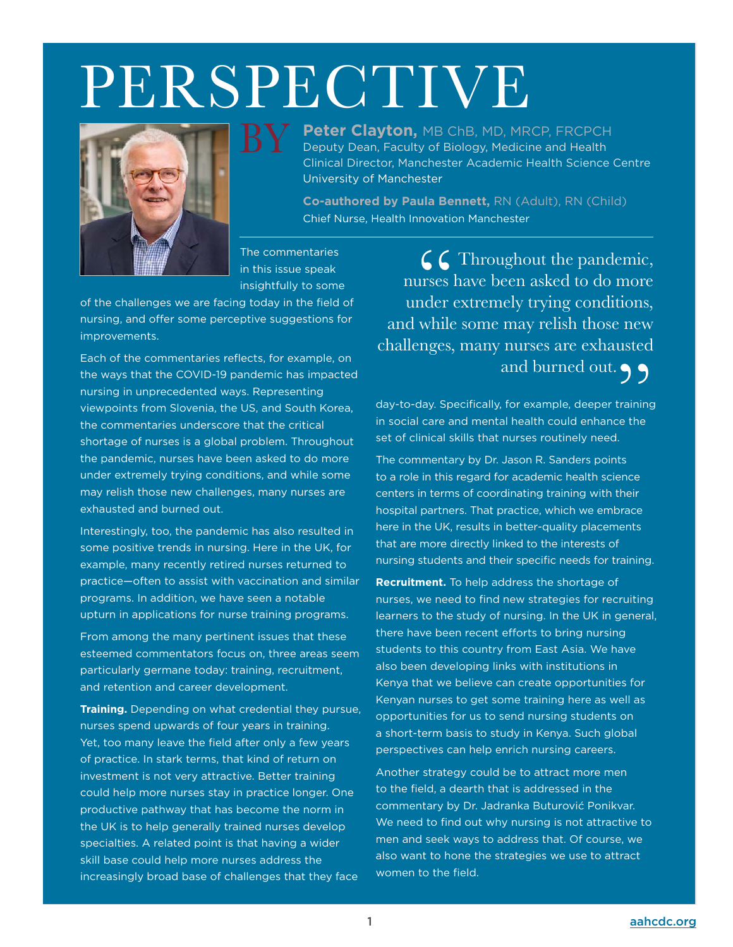# **PERSPECTIVE**



**Peter Clayton, MB ChB, MD, MRCP, FRCPCH** 

Deputy Dean, Faculty of Biology, Medicine and Health Clinical Director, Manchester Academic Health Science Centre University of Manchester

**Co-authored by Paula Bennett,** RN (Adult), RN (Child) Chief Nurse, Health Innovation Manchester

The commentaries in this issue speak insightfully to some

BY

of the challenges we are facing today in the field of nursing, and offer some perceptive suggestions for improvements.

Each of the commentaries reflects, for example, on the ways that the COVID-19 pandemic has impacted nursing in unprecedented ways. Representing viewpoints from Slovenia, the US, and South Korea, the commentaries underscore that the critical shortage of nurses is a global problem. Throughout the pandemic, nurses have been asked to do more under extremely trying conditions, and while some may relish those new challenges, many nurses are exhausted and burned out.

Interestingly, too, the pandemic has also resulted in some positive trends in nursing. Here in the UK, for example, many recently retired nurses returned to practice—often to assist with vaccination and similar programs. In addition, we have seen a notable upturn in applications for nurse training programs. From among the many pertinent issues that these esteemed commentators focus on, three areas seem particularly germane today: training, recruitment, and retention and career development.

**Training.** Depending on what credential they pursue, nurses spend upwards of four years in training. Yet, too many leave the field after only a few years of practice. In stark terms, that kind of return on investment is not very attractive. Better training could help more nurses stay in practice longer. One productive pathway that has become the norm in the UK is to help generally trained nurses develop specialties. A related point is that having a wider skill base could help more nurses address the increasingly broad base of challenges that they face

 $\mathcal{L}$  Throughout the pandemic, nurses have been asked to do more under extremely trying conditions, and while some may relish those new challenges, many nurses are exhausted and burned out.

day-to-day. Specifically, for example, deeper training in social care and mental health could enhance the set of clinical skills that nurses routinely need.

The commentary by Dr. Jason R. Sanders points to a role in this regard for academic health science centers in terms of coordinating training with their hospital partners. That practice, which we embrace here in the UK, results in better-quality placements that are more directly linked to the interests of nursing students and their specific needs for training.

**Recruitment.** To help address the shortage of nurses, we need to find new strategies for recruiting learners to the study of nursing. In the UK in general, there have been recent efforts to bring nursing students to this country from East Asia. We have also been developing links with institutions in Kenya that we believe can create opportunities for Kenyan nurses to get some training here as well as opportunities for us to send nursing students on a short-term basis to study in Kenya. Such global perspectives can help enrich nursing careers.

Another strategy could be to attract more men to the field, a dearth that is addressed in the commentary by Dr. Jadranka Buturović Ponikvar. We need to find out why nursing is not attractive to men and seek ways to address that. Of course, we also want to hone the strategies we use to attract women to the field.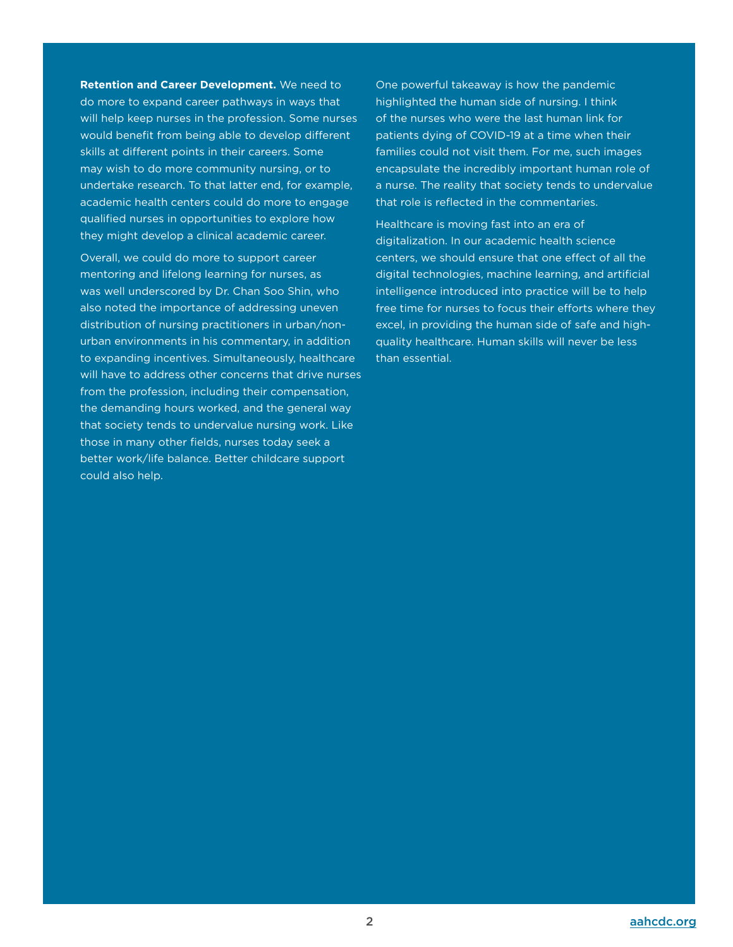**Retention and Career Development.** We need to do more to expand career pathways in ways that will help keep nurses in the profession. Some nurses would benefit from being able to develop different skills at different points in their careers. Some may wish to do more community nursing, or to undertake research. To that latter end, for example, academic health centers could do more to engage qualified nurses in opportunities to explore how they might develop a clinical academic career.

Overall, we could do more to support career mentoring and lifelong learning for nurses, as was well underscored by Dr. Chan Soo Shin, who also noted the importance of addressing uneven distribution of nursing practitioners in urban/nonurban environments in his commentary, in addition to expanding incentives. Simultaneously, healthcare will have to address other concerns that drive nurses from the profession, including their compensation, the demanding hours worked, and the general way that society tends to undervalue nursing work. Like those in many other fields, nurses today seek a better work/life balance. Better childcare support could also help.

One powerful takeaway is how the pandemic highlighted the human side of nursing. I think of the nurses who were the last human link for patients dying of COVID-19 at a time when their families could not visit them. For me, such images encapsulate the incredibly important human role of a nurse. The reality that society tends to undervalue that role is reflected in the commentaries.

Healthcare is moving fast into an era of digitalization. In our academic health science centers, we should ensure that one effect of all the digital technologies, machine learning, and artificial intelligence introduced into practice will be to help free time for nurses to focus their efforts where they excel, in providing the human side of safe and highquality healthcare. Human skills will never be less than essential.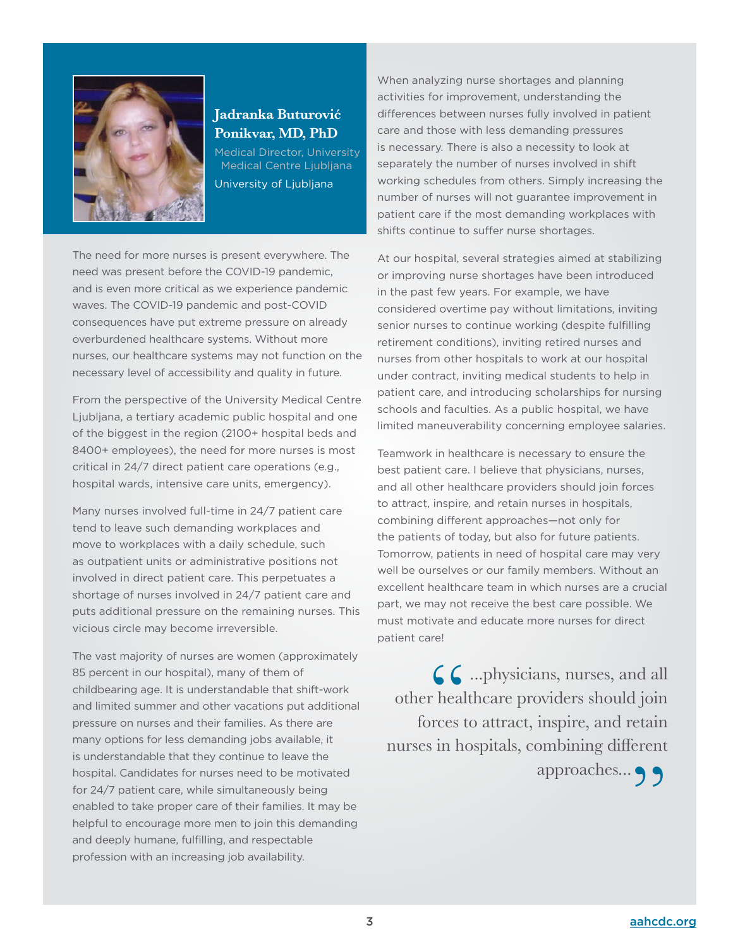

#### **Jadranka Buturović Ponikvar, MD, PhD**

Medical Director, University Medical Centre Ljubljana University of Ljubljana

The need for more nurses is present everywhere. The need was present before the COVID-19 pandemic, and is even more critical as we experience pandemic waves. The COVID-19 pandemic and post-COVID consequences have put extreme pressure on already overburdened healthcare systems. Without more nurses, our healthcare systems may not function on the necessary level of accessibility and quality in future.

From the perspective of the University Medical Centre Ljubljana, a tertiary academic public hospital and one of the biggest in the region (2100+ hospital beds and 8400+ employees), the need for more nurses is most critical in 24/7 direct patient care operations (e.g., hospital wards, intensive care units, emergency).

Many nurses involved full-time in 24/7 patient care tend to leave such demanding workplaces and move to workplaces with a daily schedule, such as outpatient units or administrative positions not involved in direct patient care. This perpetuates a shortage of nurses involved in 24/7 patient care and puts additional pressure on the remaining nurses. This vicious circle may become irreversible.

The vast majority of nurses are women (approximately 85 percent in our hospital), many of them of childbearing age. It is understandable that shift-work and limited summer and other vacations put additional pressure on nurses and their families. As there are many options for less demanding jobs available, it is understandable that they continue to leave the hospital. Candidates for nurses need to be motivated for 24/7 patient care, while simultaneously being enabled to take proper care of their families. It may be helpful to encourage more men to join this demanding and deeply humane, fulfilling, and respectable profession with an increasing job availability.

When analyzing nurse shortages and planning activities for improvement, understanding the differences between nurses fully involved in patient care and those with less demanding pressures is necessary. There is also a necessity to look at separately the number of nurses involved in shift working schedules from others. Simply increasing the number of nurses will not guarantee improvement in patient care if the most demanding workplaces with shifts continue to suffer nurse shortages.

At our hospital, several strategies aimed at stabilizing or improving nurse shortages have been introduced in the past few years. For example, we have considered overtime pay without limitations, inviting senior nurses to continue working (despite fulfilling retirement conditions), inviting retired nurses and nurses from other hospitals to work at our hospital under contract, inviting medical students to help in patient care, and introducing scholarships for nursing schools and faculties. As a public hospital, we have limited maneuverability concerning employee salaries.

Teamwork in healthcare is necessary to ensure the best patient care. I believe that physicians, nurses, and all other healthcare providers should join forces to attract, inspire, and retain nurses in hospitals, combining different approaches—not only for the patients of today, but also for future patients. Tomorrow, patients in need of hospital care may very well be ourselves or our family members. Without an excellent healthcare team in which nurses are a crucial part, we may not receive the best care possible. We must motivate and educate more nurses for direct patient care!

 $\bigcap$  ...physicians, nurses, and all other healthcare providers should join forces to attract, inspire, and retain nurses in hospitals, combining different

approaches...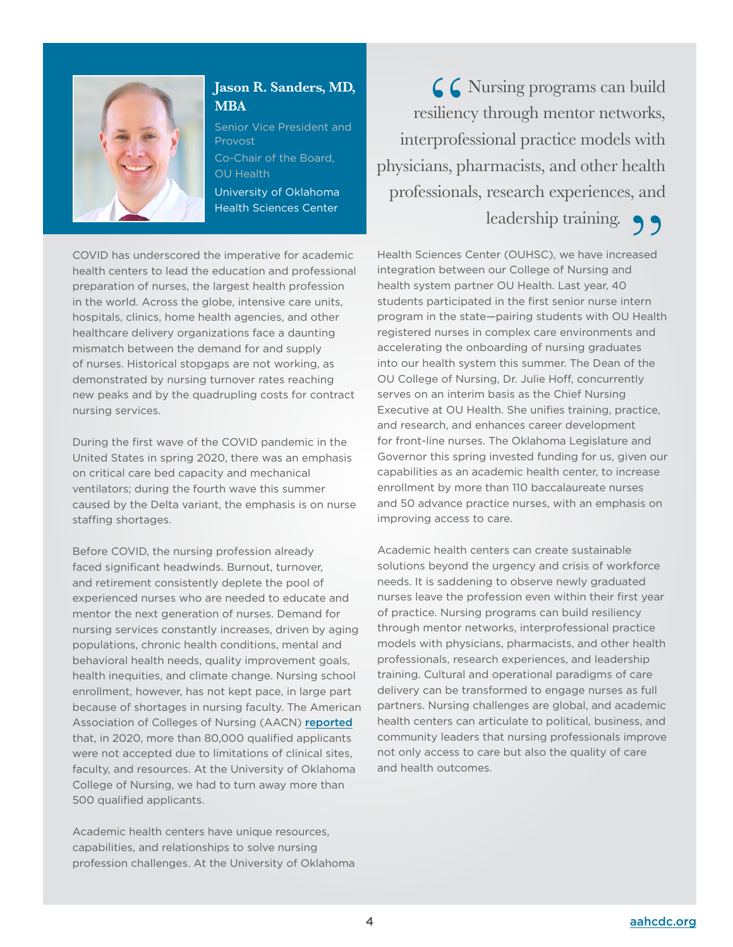

#### **Jason R. Sanders, MD, MBA**

Senior Vice President and Provost Co-Chair of the Board, OU Health

University of Oklahoma Health Sciences Center

COVID has underscored the imperative for academic health centers to lead the education and professional preparation of nurses, the largest health profession in the world. Across the globe, intensive care units, hospitals, clinics, home health agencies, and other healthcare delivery organizations face a daunting mismatch between the demand for and supply of nurses. Historical stopgaps are not working, as demonstrated by nursing turnover rates reaching new peaks and by the quadrupling costs for contract nursing services.

During the first wave of the COVID pandemic in the United States in spring 2020, there was an emphasis on critical care bed capacity and mechanical ventilators; during the fourth wave this summer caused by the Delta variant, the emphasis is on nurse staffing shortages.

Before COVID, the nursing profession already faced significant headwinds. Burnout, turnover, and retirement consistently deplete the pool of experienced nurses who are needed to educate and mentor the next generation of nurses. Demand for nursing services constantly increases, driven by aging populations, chronic health conditions, mental and behavioral health needs, quality improvement goals, health inequities, and climate change. Nursing school enrollment, however, has not kept pace, in large part because of shortages in nursing faculty. The American Association of Colleges of Nursing (AACN) [reported](https://www.aacnnursing.org/news-information/fact-sheets/nursing-faculty-shortage) that, in 2020, more than 80,000 qualified applicants were not accepted due to limitations of clinical sites, faculty, and resources. At the University of Oklahoma College of Nursing, we had to turn away more than 500 qualified applicants.

Academic health centers have unique resources, capabilities, and relationships to solve nursing profession challenges. At the University of Oklahoma

G G Nursing programs can build<br>resiliency through mentor networks,<br>interprofessional practice models with resiliency through mentor networks, physicians, pharmacists, and other health professionals, research experiences, and

leadership training.

Health Sciences Center (OUHSC), we have increased integration between our College of Nursing and health system partner OU Health. Last year, 40 students participated in the first senior nurse intern program in the state—pairing students with OU Health registered nurses in complex care environments and accelerating the onboarding of nursing graduates into our health system this summer. The Dean of the OU College of Nursing, Dr. Julie Hoff, concurrently serves on an interim basis as the Chief Nursing Executive at OU Health. She unifies training, practice, and research, and enhances career development for front-line nurses. The Oklahoma Legislature and Governor this spring invested funding for us, given our capabilities as an academic health center, to increase enrollment by more than 110 baccalaureate nurses and 50 advance practice nurses, with an emphasis on improving access to care.

Academic health centers can create sustainable solutions beyond the urgency and crisis of workforce needs. It is saddening to observe newly graduated nurses leave the profession even within their first year of practice. Nursing programs can build resiliency through mentor networks, interprofessional practice models with physicians, pharmacists, and other health professionals, research experiences, and leadership training. Cultural and operational paradigms of care delivery can be transformed to engage nurses as full partners. Nursing challenges are global, and academic health centers can articulate to political, business, and community leaders that nursing professionals improve not only access to care but also the quality of care and health outcomes.